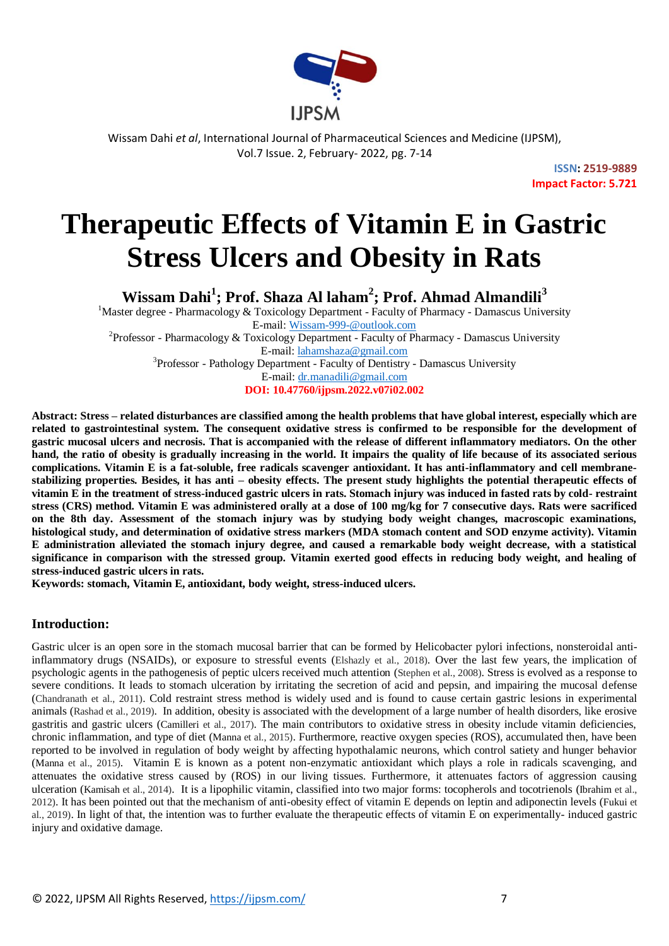

> **ISSN: 2519-9889 Impact Factor: 5.721**

# **Therapeutic Effects of Vitamin E in Gastric Stress Ulcers and Obesity in Rats**

**Wissam Dahi<sup>1</sup> ; Prof. Shaza Al laham<sup>2</sup> ; Prof. Ahmad Almandili<sup>3</sup>**

<sup>1</sup>Master degree - Pharmacology & Toxicology Department - Faculty of Pharmacy - Damascus University E-mail: Wissam-999-@outlook.com

<sup>2</sup>Professor - Pharmacology & Toxicology Department - Faculty of Pharmacy - Damascus University E-mail: lahamshaza@gmail.com

<sup>3</sup>Professor - Pathology Department - Faculty of Dentistry - Damascus University E-mail: dr.manadili@gmail.com

**DOI: 10.47760/ijpsm.2022.v07i02.002**

**Abstract: Stress – related disturbances are classified among the health problems that have global interest, especially which are related to gastrointestinal system. The consequent oxidative stress is confirmed to be responsible for the development of gastric mucosal ulcers and necrosis. That is accompanied with the release of different inflammatory mediators. On the other hand, the ratio of obesity is gradually increasing in the world. It impairs the quality of life because of its associated serious complications. Vitamin E is a fat-soluble, free radicals scavenger antioxidant. It has anti-inflammatory and cell membranestabilizing properties. Besides, it has anti – obesity effects. The present study highlights the potential therapeutic effects of vitamin E in the treatment of stress-induced gastric ulcers in rats. Stomach injury was induced in fasted rats by cold- restraint stress (CRS) method. Vitamin E was administered orally at a dose of 100 mg/kg for 7 consecutive days. Rats were sacrificed on the 8th day. Assessment of the stomach injury was by studying body weight changes, macroscopic examinations, histological study, and determination of oxidative stress markers (MDA stomach content and SOD enzyme activity). Vitamin E administration alleviated the stomach injury degree, and caused a remarkable body weight decrease, with a statistical significance in comparison with the stressed group. Vitamin exerted good effects in reducing body weight, and healing of stress-induced gastric ulcers in rats.**

**Keywords: stomach, Vitamin E, antioxidant, body weight, stress-induced ulcers.**

# **Introduction:**

Gastric ulcer is an open sore in the stomach mucosal barrier that can be formed by Helicobacter pylori infections, nonsteroidal antiinflammatory drugs (NSAIDs), or exposure to stressful events (Elshazly et al., 2018). Over the last few years, the implication of psychologic agents in the pathogenesis of peptic ulcers received much attention (Stephen et al., 2008). Stress is evolved as a response to severe conditions. It leads to stomach ulceration by irritating the secretion of acid and pepsin, and impairing the mucosal defense (Chandranath et al., 2011). Cold restraint stress method is widely used and is found to cause certain gastric lesions in experimental animals (Rashad et al., 2019). In addition, obesity is associated with the development of a large number of health disorders, like erosive gastritis and gastric ulcers (Camilleri et al., 2017). The main contributors to oxidative stress in obesity include vitamin deficiencies, chronic inflammation, and type of diet (Manna et al., 2015). Furthermore, reactive oxygen species (ROS), accumulated then, have been reported to be involved in regulation of body weight by affecting hypothalamic neurons, which control satiety and hunger behavior (Manna et al., 2015). Vitamin E is known as a potent non-enzymatic antioxidant which plays a role in radicals scavenging, and attenuates the oxidative stress caused by (ROS) in our living tissues. Furthermore, it attenuates factors of aggression causing ulceration (Kamisah et al., 2014). It is a lipophilic vitamin, classified into two major forms: tocopherols and tocotrienols (Ibrahim et al., 2012). It has been pointed out that the mechanism of anti-obesity effect of vitamin E depends on leptin and adiponectin levels (Fukui et al., 2019). In light of that, the intention was to further evaluate the therapeutic effects of vitamin E on experimentally- induced gastric injury and oxidative damage.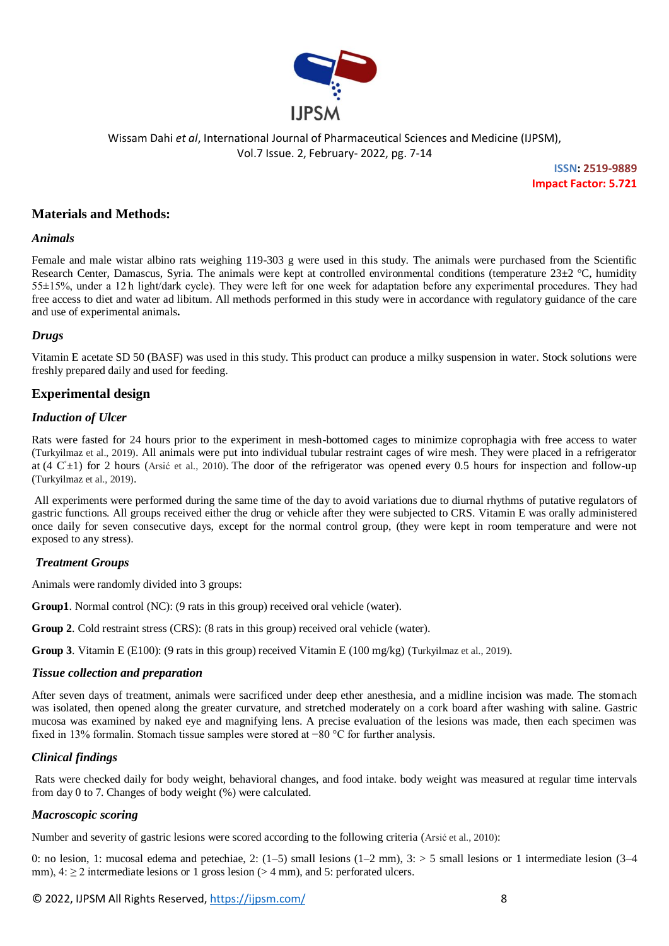

> **ISSN: 2519-9889 Impact Factor: 5.721**

# **Materials and Methods:**

#### *Animals*

Female and male wistar albino rats weighing 119-303 g were used in this study. The animals were purchased from the Scientific Research Center, Damascus, Syria. The animals were kept at controlled environmental conditions (temperature  $23\pm2$  °C, humidity 55±15%, under a 12 h light/dark cycle). They were left for one week for adaptation before any experimental procedures. They had free access to diet and water ad libitum. All methods performed in this study were in accordance with regulatory guidance of the care and use of experimental animals**.**

#### *Drugs*

Vitamin E acetate SD 50 (BASF) was used in this study. This product can produce a milky suspension in water. Stock solutions were freshly prepared daily and used for feeding.

# **Experimental design**

#### *Induction of Ulcer*

Rats were fasted for 24 hours prior to the experiment in mesh-bottomed cages to minimize coprophagia with free access to water (Turkyilmaz et al., 2019). All animals were put into individual tubular restraint cages of wire mesh. They were placed in a refrigerator at (4  $C<sup>+</sup>±1$ ) for 2 hours (Arsić et al., 2010). The door of the refrigerator was opened every 0.5 hours for inspection and follow-up (Turkyilmaz et al., 2019).

All experiments were performed during the same time of the day to avoid variations due to diurnal rhythms of putative regulators of gastric functions. All groups received either the drug or vehicle after they were subjected to CRS. Vitamin E was orally administered once daily for seven consecutive days, except for the normal control group, (they were kept in room temperature and were not exposed to any stress).

# *Treatment Groups*

Animals were randomly divided into 3 groups:

**Group1**. Normal control (NC): (9 rats in this group) received oral vehicle (water).

**Group 2**. Cold restraint stress (CRS): (8 rats in this group) received oral vehicle (water).

**Group 3**. Vitamin E (E100): (9 rats in this group) received Vitamin E (100 mg/kg) (Turkyilmaz et al., 2019).

#### *Tissue collection and preparation*

After seven days of treatment, animals were sacrificed under deep ether anesthesia, and a midline incision was made. The stomach was isolated, then opened along the greater curvature, and stretched moderately on a cork board after washing with saline. Gastric mucosa was examined by naked eye and magnifying lens. A precise evaluation of the lesions was made, then each specimen was fixed in 13% formalin. Stomach tissue samples were stored at −80 °C for further analysis.

# *Clinical findings*

Rats were checked daily for body weight, behavioral changes, and food intake. body weight was measured at regular time intervals from day 0 to 7. Changes of body weight (%) were calculated.

# *Macroscopic scoring*

Number and severity of gastric lesions were scored according to the following criteria (Arsić et al., 2010):

0: no lesion, 1: mucosal edema and petechiae, 2:  $(1-5)$  small lesions  $(1-2 \text{ mm})$ ,  $3:$  > 5 small lesions or 1 intermediate lesion  $(3-4)$ mm),  $4 \ge 2$  intermediate lesions or 1 gross lesion (> 4 mm), and 5: perforated ulcers.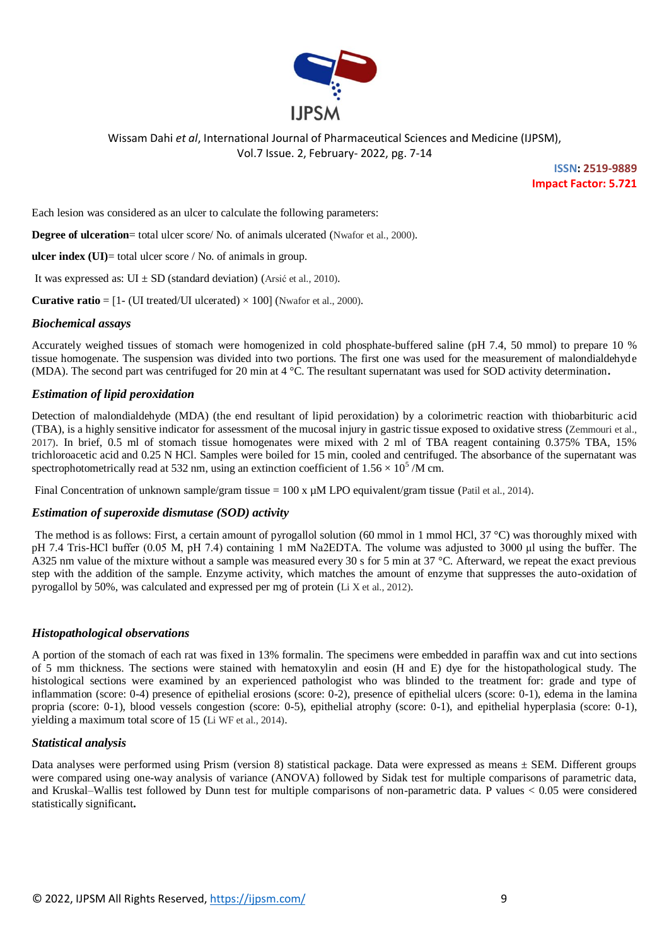

**ISSN: 2519-9889 Impact Factor: 5.721**

Each lesion was considered as an ulcer to calculate the following parameters:

**Degree of ulceration**= total ulcer score/ No. of animals ulcerated (Nwafor et al., 2000).

**ulcer index (UI)**= total ulcer score / No. of animals in group.

It was expressed as:  $UI \pm SD$  (standard deviation) (Arsić et al., 2010).

**Curative ratio** =  $[1 - (UI treated/UI allocated) \times 100]$  (Nwafor et al., 2000).

#### *Biochemical assays*

Accurately weighed tissues of stomach were homogenized in cold phosphate-buffered saline (pH 7.4, 50 mmol) to prepare 10 % tissue homogenate. The suspension was divided into two portions. The first one was used for the measurement of malondialdehyde (MDA). The second part was centrifuged for 20 min at 4 °C. The resultant supernatant was used for SOD activity determination**.**

#### *Estimation of lipid peroxidation*

Detection of malondialdehyde (MDA) (the end resultant of lipid peroxidation) by a colorimetric reaction with thiobarbituric acid (TBA), is a highly sensitive indicator for assessment of the mucosal injury in gastric tissue exposed to oxidative stress (Zemmouri et al., 2017). In brief, 0.5 ml of stomach tissue homogenates were mixed with 2 ml of TBA reagent containing 0.375% TBA, 15% trichloroacetic acid and 0.25 N HCl. Samples were boiled for 15 min, cooled and centrifuged. The absorbance of the supernatant was spectrophotometrically read at 532 nm, using an extinction coefficient of  $1.56 \times 10^5$  /M cm.

Final Concentration of unknown sample/gram tissue =  $100 \times \mu M$  LPO equivalent/gram tissue (Patil et al., 2014).

#### *Estimation of superoxide dismutase (SOD) activity*

The method is as follows: First, a certain amount of pyrogallol solution (60 mmol in 1 mmol HCl,  $37^{\circ}$ C) was thoroughly mixed with pH 7.4 Tris-HCl buffer (0.05 M, pH 7.4) containing 1 mM Na2EDTA. The volume was adjusted to 3000 μl using the buffer. The A325 nm value of the mixture without a sample was measured every 30 s for 5 min at 37 °C. Afterward, we repeat the exact previous step with the addition of the sample. Enzyme activity, which matches the amount of enzyme that suppresses the auto-oxidation of pyrogallol by 50%, was calculated and expressed per mg of protein (Li X et al., 2012).

#### *Histopathological observations*

A portion of the stomach of each rat was fixed in 13% formalin. The specimens were embedded in paraffin wax and cut into sections of 5 mm thickness. The sections were stained with hematoxylin and eosin (H and E) dye for the histopathological study. The histological sections were examined by an experienced pathologist who was blinded to the treatment for: grade and type of inflammation (score: 0-4) presence of epithelial erosions (score: 0-2), presence of epithelial ulcers (score: 0-1), edema in the lamina propria (score: 0-1), blood vessels congestion (score: 0-5), epithelial atrophy (score: 0-1), and epithelial hyperplasia (score: 0-1), yielding a maximum total score of 15 (Li WF et al., 2014).

#### *Statistical analysis*

Data analyses were performed using Prism (version 8) statistical package. Data were expressed as means  $\pm$  SEM. Different groups were compared using one-way analysis of variance (ANOVA) followed by Sidak test for multiple comparisons of parametric data, and Kruskal–Wallis test followed by Dunn test for multiple comparisons of non-parametric data. P values < 0.05 were considered statistically significant**.**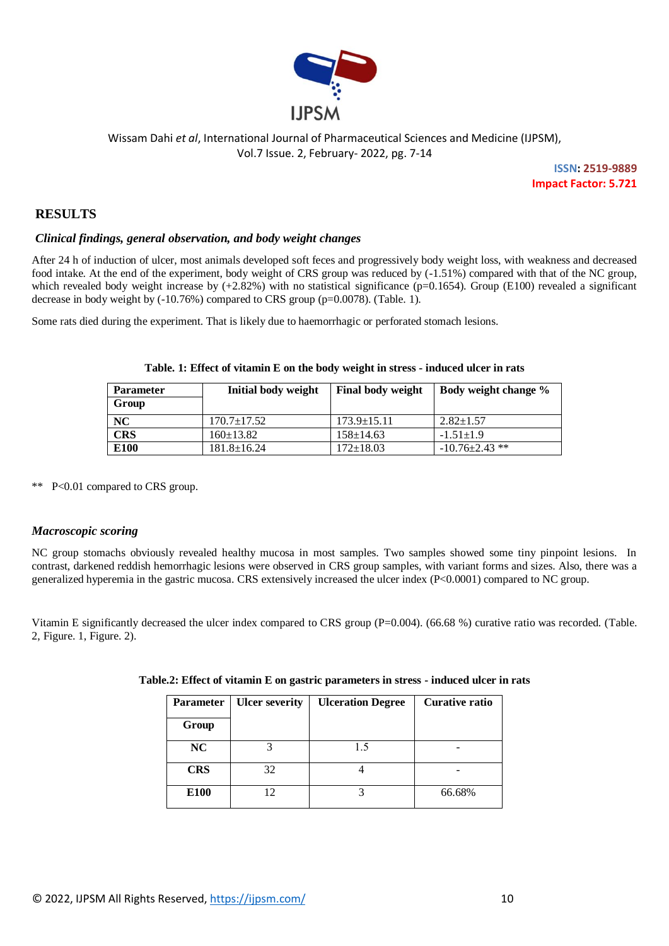

> **ISSN: 2519-9889 Impact Factor: 5.721**

# **RESULTS**

#### *Clinical findings, general observation, and body weight changes*

After 24 h of induction of ulcer, most animals developed soft feces and progressively body weight loss, with weakness and decreased food intake. At the end of the experiment, body weight of CRS group was reduced by (-1.51%) compared with that of the NC group, which revealed body weight increase by  $(+2.82%)$  with no statistical significance (p=0.1654). Group (E100) revealed a significant decrease in body weight by (-10.76%) compared to CRS group (p=0.0078). (Table. 1).

Some rats died during the experiment. That is likely due to haemorrhagic or perforated stomach lesions.

| <b>Parameter</b><br>Group | Initial body weight | <b>Final body weight</b> | Body weight change % |
|---------------------------|---------------------|--------------------------|----------------------|
| NC                        | $170.7 \pm 17.52$   | $173.9 \pm 15.11$        | $2.82 \pm 1.57$      |
| <b>CRS</b>                | $160 \pm 13.82$     | $158 \pm 14.63$          | $-1.51 \pm 1.9$      |
| E100                      | $181.8 \pm 16.24$   | $172 \pm 18.03$          | $-10.76\pm2.43$ **   |

#### **Table. 1: Effect of vitamin E on the body weight in stress - induced ulcer in rats**

\*\* P<0.01 compared to CRS group.

# *Macroscopic scoring*

NC group stomachs obviously revealed healthy mucosa in most samples. Two samples showed some tiny pinpoint lesions. In contrast, darkened reddish hemorrhagic lesions were observed in CRS group samples, with variant forms and sizes. Also, there was a generalized hyperemia in the gastric mucosa. CRS extensively increased the ulcer index (P<0.0001) compared to NC group.

Vitamin E significantly decreased the ulcer index compared to CRS group (P=0.004). (66.68 %) curative ratio was recorded. (Table. 2, Figure. 1, Figure. 2).

| <b>Parameter</b> | <b>Ulcer severity</b> | <b>Ulceration Degree</b> | <b>Curative ratio</b> |  |  |
|------------------|-----------------------|--------------------------|-----------------------|--|--|
| Group            |                       |                          |                       |  |  |
| NC               |                       | 15                       |                       |  |  |
| <b>CRS</b>       | 32                    |                          |                       |  |  |
| E <sub>100</sub> | 12                    |                          | 66.68%                |  |  |

|  |  | Table.2: Effect of vitamin E on gastric parameters in stress - induced ulcer in rats |  |  |
|--|--|--------------------------------------------------------------------------------------|--|--|
|  |  |                                                                                      |  |  |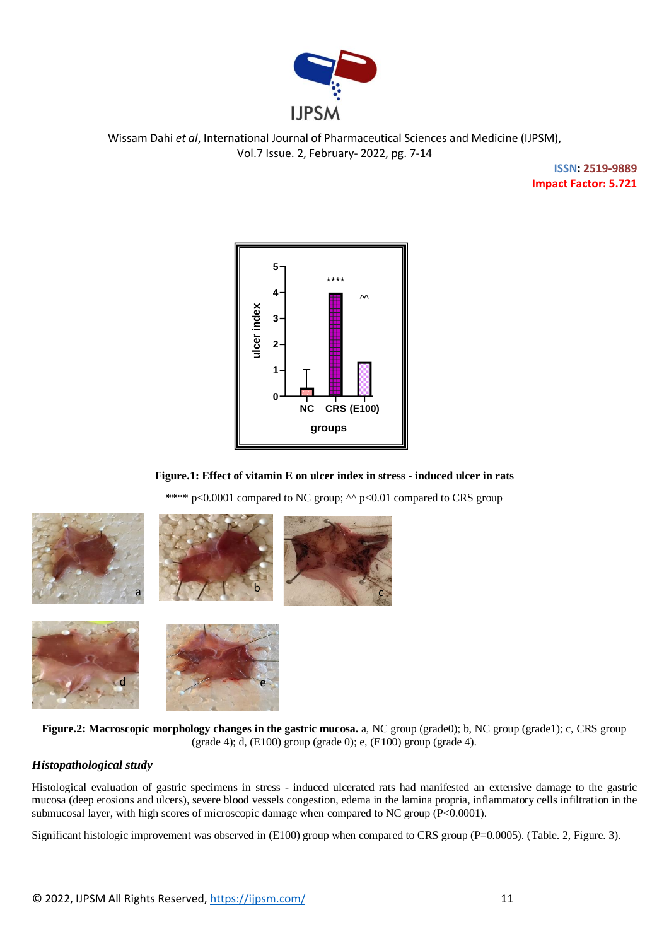

> **ISSN: 2519-9889 Impact Factor: 5.721**



# **Figure.1: Effect of vitamin E on ulcer index in stress - induced ulcer in rats**

\*\*\*\*  $p<0.0001$  compared to NC group;  $\sim p<0.01$  compared to CRS group







**Figure.2: Macroscopic morphology changes in the gastric mucosa.** a, NC group (grade0); b, NC group (grade1); c, CRS group (grade 4); d, (E100) group (grade 0); e, (E100) group (grade 4).

# *Histopathological study*

Histological evaluation of gastric specimens in stress - induced ulcerated rats had manifested an extensive damage to the gastric mucosa (deep erosions and ulcers), severe blood vessels congestion, edema in the lamina propria, inflammatory cells infiltration in the submucosal layer, with high scores of microscopic damage when compared to NC group (P<0.0001).

Significant histologic improvement was observed in  $(E100)$  group when compared to CRS group (P=0.0005). (Table. 2, Figure. 3).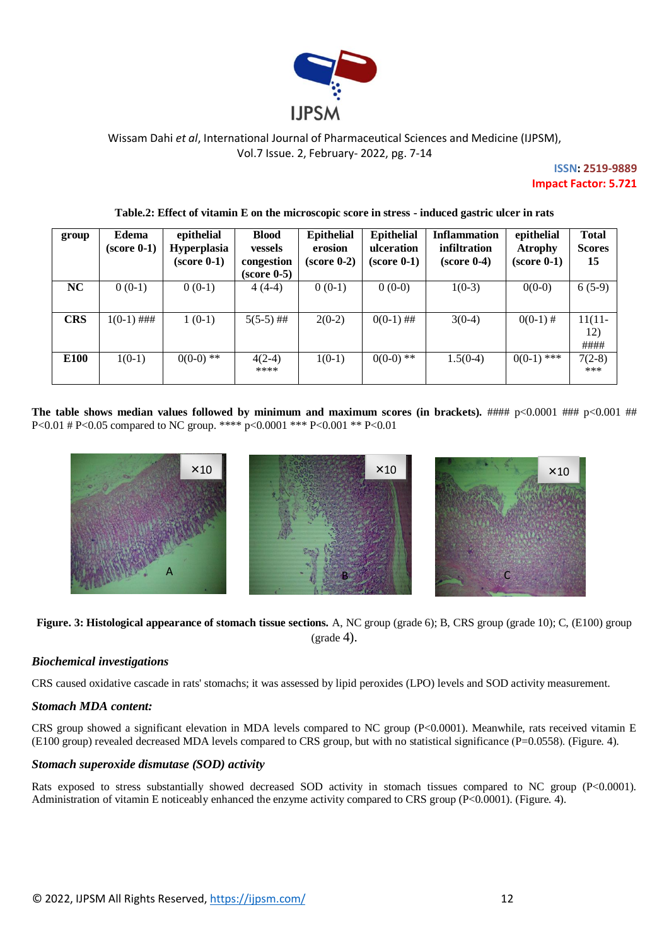

**ISSN: 2519-9889 Impact Factor: 5.721**

| group            | Edema<br>$(score 0-1)$ | epithelial<br><b>Hyperplasia</b><br>(score 0-1) | <b>Blood</b><br><b>vessels</b><br>congestion<br>$(score 0-5)$ | <b>Epithelial</b><br>erosion<br>$(score 0-2)$ | <b>Epithelial</b><br>ulceration<br>$(score 0-1)$ | <b>Inflammation</b><br>infiltration<br>$(score 0-4)$ | epithelial<br><b>Atrophy</b><br>$(score 0-1)$ | <b>Total</b><br><b>Scores</b><br>15 |
|------------------|------------------------|-------------------------------------------------|---------------------------------------------------------------|-----------------------------------------------|--------------------------------------------------|------------------------------------------------------|-----------------------------------------------|-------------------------------------|
| NC               | $0(0-1)$               | $0(0-1)$                                        | $4(4-4)$                                                      | $0(0-1)$                                      | $0(0-0)$                                         | $1(0-3)$                                             | $0(0-0)$                                      | $6(5-9)$                            |
| <b>CRS</b>       | $1(0-1)$ ###           | $1(0-1)$                                        | $5(5-5)$ ##                                                   | $2(0-2)$                                      | $0(0-1)$ ##                                      | $3(0-4)$                                             | $0(0-1)$ #                                    | $11(11 -$<br>12)<br>####            |
| E <sub>100</sub> | $1(0-1)$               | $0(0-0)$ **                                     | $4(2-4)$<br>****                                              | $1(0-1)$                                      | $0(0-0)$ **                                      | $1.5(0-4)$                                           | $0(0-1)$ ***                                  | $7(2-8)$<br>***                     |

#### **Table.2: Effect of vitamin E on the microscopic score in stress - induced gastric ulcer in rats**

The table shows median values followed by minimum and maximum scores (in brackets).  $\#H\#p<0.0001$   $\#H\#p<0.001$   $\#H\#p<0.001$ P<0.01 # P<0.05 compared to NC group. \*\*\*\* p<0.0001 \*\*\* P<0.001 \*\* P<0.01



**Figure. 3: Histological appearance of stomach tissue sections.** A, NC group (grade 6); B, CRS group (grade 10); C, (E100) group  $(\text{grade } 4).$ 

# *Biochemical investigations*

CRS caused oxidative cascade in rats' stomachs; it was assessed by lipid peroxides (LPO) levels and SOD activity measurement.

#### *Stomach MDA content:*

CRS group showed a significant elevation in MDA levels compared to NC group  $(P< 0.0001)$ . Meanwhile, rats received vitamin E (E100 group) revealed decreased MDA levels compared to CRS group, but with no statistical significance ( $P=0.0558$ ). (Figure. 4).

#### *Stomach superoxide dismutase (SOD) activity*

Rats exposed to stress substantially showed decreased SOD activity in stomach tissues compared to NC group (P<0.0001). Administration of vitamin E noticeably enhanced the enzyme activity compared to CRS group (P<0.0001). (Figure. 4).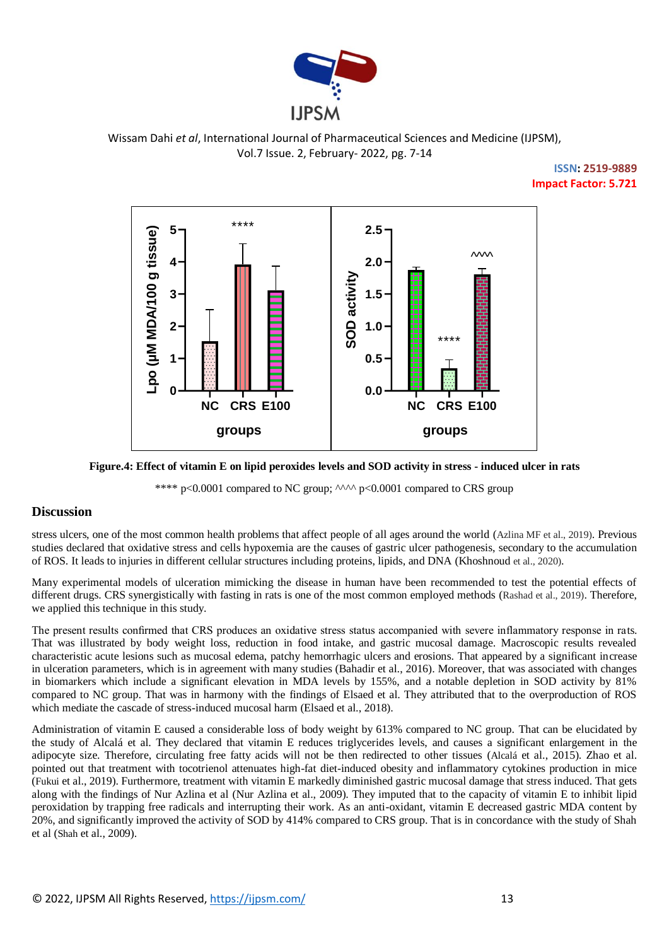

# **ISSN: 2519-9889 Impact Factor: 5.721**



#### **Figure.4: Effect of vitamin E on lipid peroxides levels and SOD activity in stress - induced ulcer in rats**

\*\*\*\*  $p<0.0001$  compared to NC group;  $\lambda$   $\lambda$   $p<0.0001$  compared to CRS group

# **Discussion**

stress ulcers, one of the most common health problems that affect people of all ages around the world (Azlina MF et al., 2019). Previous studies declared that oxidative stress and cells hypoxemia are the causes of gastric ulcer pathogenesis, secondary to the accumulation of ROS. It leads to injuries in different cellular structures including proteins, lipids, and DNA (Khoshnoud et al., 2020).

Many experimental models of ulceration mimicking the disease in human have been recommended to test the potential effects of different drugs. CRS synergistically with fasting in rats is one of the most common employed methods (Rashad et al., 2019). Therefore, we applied this technique in this study.

The present results confirmed that CRS produces an oxidative stress status accompanied with severe inflammatory response in rats. That was illustrated by body weight loss, reduction in food intake, and gastric mucosal damage. Macroscopic results revealed characteristic acute lesions such as mucosal edema, patchy hemorrhagic ulcers and erosions. That appeared by a significant increase in ulceration parameters, which is in agreement with many studies (Bahadir et al., 2016). Moreover, that was associated with changes in biomarkers which include a significant elevation in MDA levels by 155%, and a notable depletion in SOD activity by 81% compared to NC group. That was in harmony with the findings of Elsaed et al. They attributed that to the overproduction of ROS which mediate the cascade of stress-induced mucosal harm (Elsaed et al., 2018).

Administration of vitamin E caused a considerable loss of body weight by 613% compared to NC group. That can be elucidated by the study of Alcalá et al. They declared that vitamin E reduces triglycerides levels, and causes a significant enlargement in the adipocyte size. Therefore, circulating free fatty acids will not be then redirected to other tissues (Alcalá et al., 2015). Zhao et al. pointed out that treatment with tocotrienol attenuates high-fat diet-induced obesity and inflammatory cytokines production in mice (Fukui et al., 2019). Furthermore, treatment with vitamin E markedly diminished gastric mucosal damage that stress induced. That gets along with the findings of Nur Azlina et al (Nur Azlina et al., 2009). They imputed that to the capacity of vitamin E to inhibit lipid peroxidation by trapping free radicals and interrupting their work. As an anti-oxidant, vitamin E decreased gastric MDA content by 20%, and significantly improved the activity of SOD by 414% compared to CRS group. That is in concordance with the study of Shah et al (Shah et al., 2009).